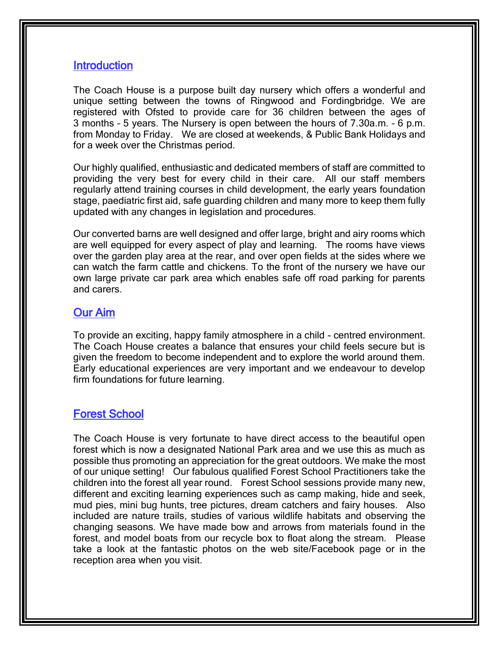### **Introduction**

The Coach House is a purpose built day nursery which offers a wonderful and unique setting between the towns of Ringwood and Fordingbridge. We are registered with Ofsted to provide care for 36 children between the ages of 3 months – 5 years. The Nursery is open between the hours of 7.30a.m. – 6 p.m. from Monday to Friday. We are closed at weekends, & Public Bank Holidays and for a week over the Christmas period.

Our highly qualified, enthusiastic and dedicated members of staff are committed to providing the very best for every child in their care. All our staff members regularly attend training courses in child development, the early years foundation stage, paediatric first aid, safe guarding children and many more to keep them fully updated with any changes in legislation and procedures.

Our converted barns are well designed and offer large, bright and airy rooms which are well equipped for every aspect of play and learning. The rooms have views over the garden play area at the rear, and over open fields at the sides where we can watch the farm cattle and chickens. To the front of the nursery we have our own large private car park area which enables safe off road parking for parents and carers.

#### Our Aim

To provide an exciting, happy family atmosphere in a child - centred environment. The Coach House creates a balance that ensures your child feels secure but is given the freedom to become independent and to explore the world around them. Early educational experiences are very important and we endeavour to develop firm foundations for future learning.

### Forest School

The Coach House is very fortunate to have direct access to the beautiful open forest which is now a designated National Park area and we use this as much as possible thus promoting an appreciation for the great outdoors. We make the most of our unique setting! Our fabulous qualified Forest School Practitioners take the children into the forest all year round. Forest School sessions provide many new, different and exciting learning experiences such as camp making, hide and seek, mud pies, mini bug hunts, tree pictures, dream catchers and fairy houses. Also included are nature trails, studies of various wildlife habitats and observing the changing seasons. We have made bow and arrows from materials found in the forest, and model boats from our recycle box to float along the stream. Please take a look at the fantastic photos on the web site/Facebook page or in the reception area when you visit.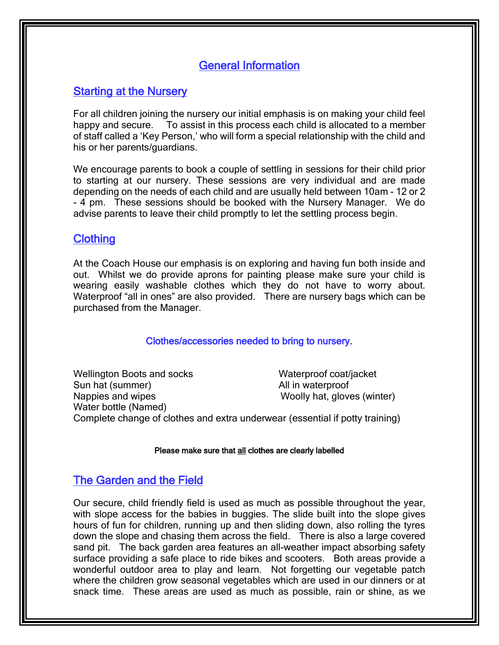### General Information

### **Starting at the Nursery**

For all children joining the nursery our initial emphasis is on making your child feel happy and secure. To assist in this process each child is allocated to a member of staff called a 'Key Person,' who will form a special relationship with the child and his or her parents/guardians.

We encourage parents to book a couple of settling in sessions for their child prior to starting at our nursery. These sessions are very individual and are made depending on the needs of each child and are usually held between 10am - 12 or 2 - 4 pm. These sessions should be booked with the Nursery Manager. We do advise parents to leave their child promptly to let the settling process begin.

### **Clothing**

At the Coach House our emphasis is on exploring and having fun both inside and out. Whilst we do provide aprons for painting please make sure your child is wearing easily washable clothes which they do not have to worry about. Waterproof "all in ones" are also provided. There are nursery bags which can be purchased from the Manager.

#### Clothes/accessories needed to bring to nursery.

Wellington Boots and socks Waterproof coat/jacket Sun hat (summer) Sun hat (summer) and the state of the All in waterproof Nappies and wipes Nappies and wipes Woolly hat, gloves (winter) Water bottle (Named) Complete change of clothes and extra underwear (essential if potty training)

#### Please make sure that all clothes are clearly labelled

### The Garden and the Field

Our secure, child friendly field is used as much as possible throughout the year, with slope access for the babies in buggies. The slide built into the slope gives hours of fun for children, running up and then sliding down, also rolling the tyres down the slope and chasing them across the field. There is also a large covered sand pit. The back garden area features an all-weather impact absorbing safety surface providing a safe place to ride bikes and scooters. Both areas provide a wonderful outdoor area to play and learn. Not forgetting our vegetable patch where the children grow seasonal vegetables which are used in our dinners or at snack time. These areas are used as much as possible, rain or shine, as we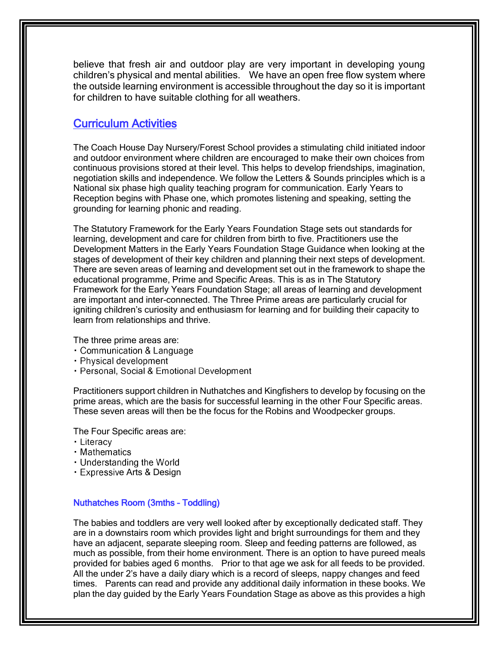believe that fresh air and outdoor play are very important in developing young children's physical and mental abilities. We have an open free flow system where the outside learning environment is accessible throughout the day so it is important for children to have suitable clothing for all weathers.

### Curriculum Activities

The Coach House Day Nursery/Forest School provides a stimulating child initiated indoor and outdoor environment where children are encouraged to make their own choices from continuous provisions stored at their level. This helps to develop friendships, imagination, negotiation skills and independence. We follow the Letters & Sounds principles which is a National six phase high quality teaching program for communication. Early Years to Reception begins with Phase one, which promotes listening and speaking, setting the grounding for learning phonic and reading.

The Statutory Framework for the Early Years Foundation Stage sets out standards for learning, development and care for children from birth to five. Practitioners use the Development Matters in the Early Years Foundation Stage Guidance when looking at the stages of development of their key children and planning their next steps of development. There are seven areas of learning and development set out in the framework to shape the educational programme, Prime and Specific Areas. This is as in The Statutory Framework for the Early Years Foundation Stage; all areas of learning and development are important and inter-connected. The Three Prime areas are particularly crucial for igniting children's curiosity and enthusiasm for learning and for building their capacity to learn from relationships and thrive.

The three prime areas are:

- Communication & Language
- Physical development
- · Personal, Social & Emotional Development

Practitioners support children in Nuthatches and Kingfishers to develop by focusing on the prime areas, which are the basis for successful learning in the other Four Specific areas. These seven areas will then be the focus for the Robins and Woodpecker groups.

The Four Specific areas are:

- · Literacy
- Mathematics
- Understanding the World
- **Expressive Arts & Design**

#### Nuthatches Room (3mths – Toddling)

The babies and toddlers are very well looked after by exceptionally dedicated staff. They are in a downstairs room which provides light and bright surroundings for them and they have an adjacent, separate sleeping room. Sleep and feeding patterns are followed, as much as possible, from their home environment. There is an option to have pureed meals provided for babies aged 6 months. Prior to that age we ask for all feeds to be provided. All the under 2's have a daily diary which is a record of sleeps, nappy changes and feed times. Parents can read and provide any additional daily information in these books. We plan the day guided by the Early Years Foundation Stage as above as this provides a high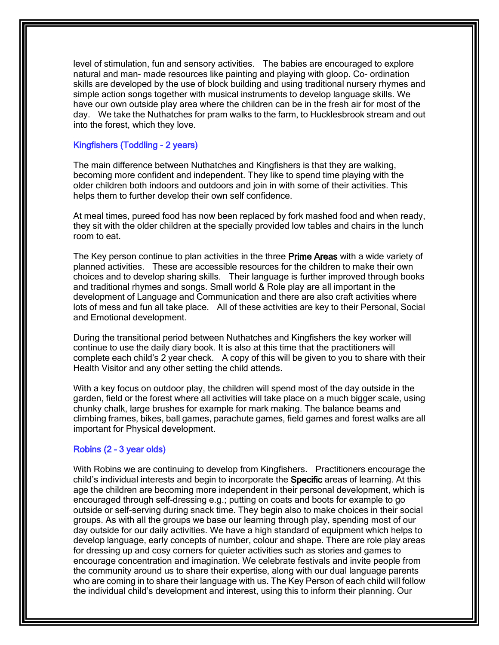level of stimulation, fun and sensory activities. The babies are encouraged to explore natural and man- made resources like painting and playing with gloop. Co- ordination skills are developed by the use of block building and using traditional nursery rhymes and simple action songs together with musical instruments to develop language skills. We have our own outside play area where the children can be in the fresh air for most of the day. We take the Nuthatches for pram walks to the farm, to Hucklesbrook stream and out into the forest, which they love.

#### Kingfishers (Toddling - 2 years)

The main difference between Nuthatches and Kingfishers is that they are walking, becoming more confident and independent. They like to spend time playing with the older children both indoors and outdoors and join in with some of their activities. This helps them to further develop their own self confidence.

At meal times, pureed food has now been replaced by fork mashed food and when ready, they sit with the older children at the specially provided low tables and chairs in the lunch room to eat.

The Key person continue to plan activities in the three Prime Areas with a wide variety of planned activities. These are accessible resources for the children to make their own choices and to develop sharing skills. Their language is further improved through books and traditional rhymes and songs. Small world & Role play are all important in the development of Language and Communication and there are also craft activities where lots of mess and fun all take place. All of these activities are key to their Personal, Social and Emotional development.

During the transitional period between Nuthatches and Kingfishers the key worker will continue to use the daily diary book. It is also at this time that the practitioners will complete each child's 2 year check. A copy of this will be given to you to share with their Health Visitor and any other setting the child attends.

With a key focus on outdoor play, the children will spend most of the day outside in the garden, field or the forest where all activities will take place on a much bigger scale, using chunky chalk, large brushes for example for mark making. The balance beams and climbing frames, bikes, ball games, parachute games, field games and forest walks are all important for Physical development.

#### Robins (2 – 3 year olds)

With Robins we are continuing to develop from Kingfishers. Practitioners encourage the child's individual interests and begin to incorporate the Specific areas of learning. At this age the children are becoming more independent in their personal development, which is encouraged through self-dressing e.g.; putting on coats and boots for example to go outside or self-serving during snack time. They begin also to make choices in their social groups. As with all the groups we base our learning through play, spending most of our day outside for our daily activities. We have a high standard of equipment which helps to develop language, early concepts of number, colour and shape. There are role play areas for dressing up and cosy corners for quieter activities such as stories and games to encourage concentration and imagination. We celebrate festivals and invite people from the community around us to share their expertise, along with our dual language parents who are coming in to share their language with us. The Key Person of each child will follow the individual child's development and interest, using this to inform their planning. Our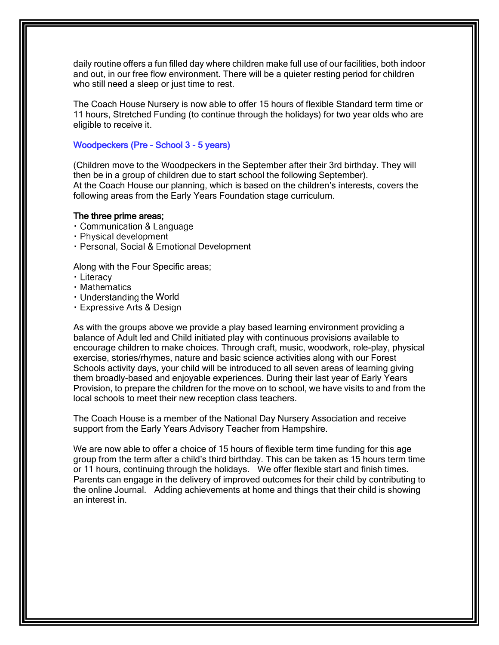daily routine offers a fun filled day where children make full use of our facilities, both indoor and out, in our free flow environment. There will be a quieter resting period for children who still need a sleep or just time to rest.

The Coach House Nursery is now able to offer 15 hours of flexible Standard term time or 11 hours, Stretched Funding (to continue through the holidays) for two year olds who are eligible to receive it.

#### Woodpeckers (Pre - School 3 - 5 years)

(Children move to the Woodpeckers in the September after their 3rd birthday. They will then be in a group of children due to start school the following September). At the Coach House our planning, which is based on the children's interests, covers the following areas from the Early Years Foundation stage curriculum.

#### The three prime areas;

- Communication & Language
- Physical development
- · Personal, Social & Emotional Development

Along with the Four Specific areas;

- · Literacy
- Mathematics
- Understanding the World
- Expressive Arts & Design

As with the groups above we provide a play based learning environment providing a balance of Adult led and Child initiated play with continuous provisions available to encourage children to make choices. Through craft, music, woodwork, role-play, physical exercise, stories/rhymes, nature and basic science activities along with our Forest Schools activity days, your child will be introduced to all seven areas of learning giving them broadly-based and enjoyable experiences. During their last year of Early Years Provision, to prepare the children for the move on to school, we have visits to and from the local schools to meet their new reception class teachers.

The Coach House is a member of the National Day Nursery Association and receive support from the Early Years Advisory Teacher from Hampshire.

We are now able to offer a choice of 15 hours of flexible term time funding for this age group from the term after a child's third birthday. This can be taken as 15 hours term time or 11 hours, continuing through the holidays. We offer flexible start and finish times. Parents can engage in the delivery of improved outcomes for their child by contributing to the online Journal. Adding achievements at home and things that their child is showing an interest in.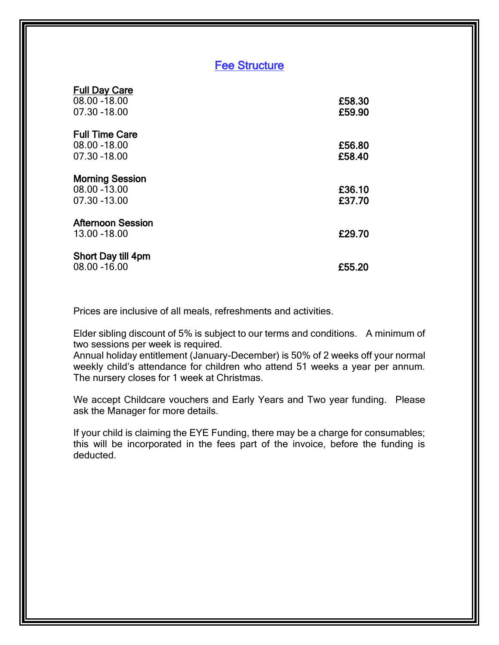### Fee Structure

| <b>Full Day Care</b><br>08.00 - 18.00<br>07.30 - 18.00  | £58.30<br>£59.90 |
|---------------------------------------------------------|------------------|
| <b>Full Time Care</b><br>08.00 - 18.00<br>07.30 -18.00  | £56.80<br>£58,40 |
| <b>Morning Session</b><br>08.00 - 13.00<br>07.30 -13.00 | £36.10<br>£37.70 |
| <b>Afternoon Session</b><br>13.00 - 18.00               | £29.70           |
| Short Day till 4pm<br>08.00 - 16.00                     | £55.20           |

Prices are inclusive of all meals, refreshments and activities.

Elder sibling discount of 5% is subject to our terms and conditions. A minimum of two sessions per week is required.

Annual holiday entitlement (January-December) is 50% of 2 weeks off your normal weekly child's attendance for children who attend 51 weeks a year per annum. The nursery closes for 1 week at Christmas.

We accept Childcare vouchers and Early Years and Two year funding. Please ask the Manager for more details.

If your child is claiming the EYE Funding, there may be a charge for consumables; this will be incorporated in the fees part of the invoice, before the funding is deducted.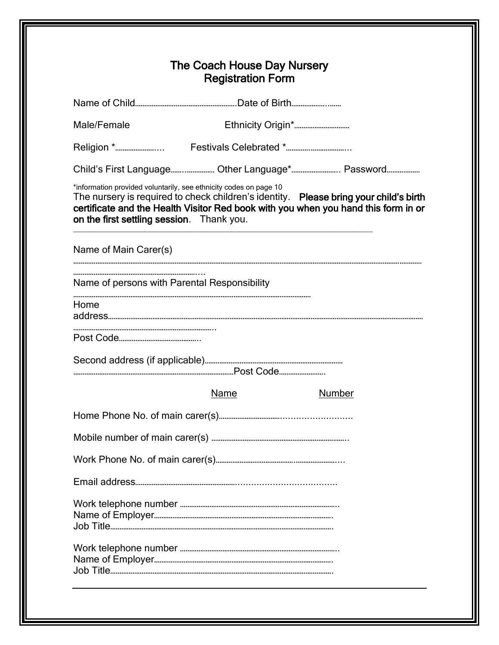| Male/Female                                  |                                                                   |                                                                                                                                                                             |
|----------------------------------------------|-------------------------------------------------------------------|-----------------------------------------------------------------------------------------------------------------------------------------------------------------------------|
|                                              |                                                                   |                                                                                                                                                                             |
|                                              | Child's First Language Other Language* Password                   |                                                                                                                                                                             |
| on the first settling session. Thank you.    | *information provided voluntarily, see ethnicity codes on page 10 | The nursery is required to check children's identity. Please bring your child's birth<br>certificate and the Health Visitor Red book with you when you hand this form in or |
| Name of Main Carer(s)                        |                                                                   |                                                                                                                                                                             |
| Name of persons with Parental Responsibility |                                                                   |                                                                                                                                                                             |
| Home                                         |                                                                   |                                                                                                                                                                             |
|                                              |                                                                   |                                                                                                                                                                             |
|                                              |                                                                   |                                                                                                                                                                             |
|                                              |                                                                   |                                                                                                                                                                             |
|                                              | Name                                                              | Number                                                                                                                                                                      |
|                                              |                                                                   |                                                                                                                                                                             |
|                                              |                                                                   |                                                                                                                                                                             |
|                                              |                                                                   |                                                                                                                                                                             |
|                                              |                                                                   |                                                                                                                                                                             |
|                                              |                                                                   |                                                                                                                                                                             |
|                                              |                                                                   |                                                                                                                                                                             |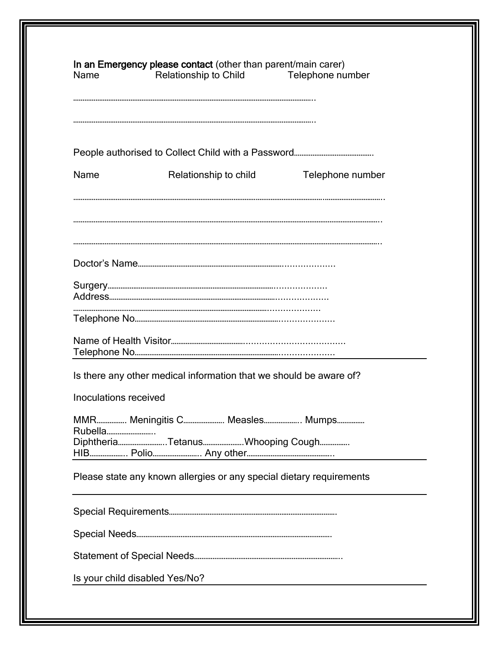| Name                  | Relationship to Child Telephone number                               |                  |
|-----------------------|----------------------------------------------------------------------|------------------|
|                       |                                                                      |                  |
| Name                  | Relationship to child                                                | Telephone number |
|                       |                                                                      |                  |
|                       |                                                                      |                  |
|                       |                                                                      |                  |
|                       |                                                                      |                  |
|                       | Is there any other medical information that we should be aware of?   |                  |
| Inoculations received |                                                                      |                  |
| Rubella               | MMR Meningitis C Measles Mumps                                       |                  |
|                       | DiphtheriaTetanusWhooping Cough                                      |                  |
|                       | Please state any known allergies or any special dietary requirements |                  |
|                       |                                                                      |                  |
|                       |                                                                      |                  |
|                       |                                                                      |                  |
|                       | Is your child disabled Yes/No?                                       |                  |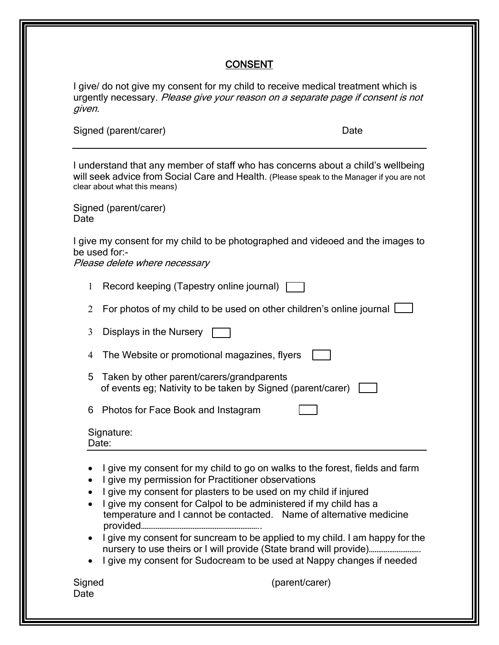#### **CONSENT**

I give/ do not give my consent for my child to receive medical treatment which is urgently necessary. Please give your reason on a separate page if consent is not given.

Signed (parent/carer) and the state of the Date Date

I understand that any member of staff who has concerns about a child's wellbeing will seek advice from Social Care and Health. (Please speak to the Manager if you are not clear about what this means)

Signed (parent/carer) Date

I give my consent for my child to be photographed and videoed and the images to be used for:-

Please delete where necessary

- 1 Record keeping (Tapestry online journal)  $\Box$
- 2 For photos of my child to be used on other children's online journal [
- 3 Displays in the Nursery
- The Website or promotional magazines, flyers
- 5 Taken by other parent/carers/grandparents of events eg; Nativity to be taken by Signed (parent/carer)  $\Box$

6 Photos for Face Book and Instagram

#### Signature: Date:

- I give my consent for my child to go on walks to the forest, fields and farm
- I give my permission for Practitioner observations
- I give my consent for plasters to be used on my child if injured
- I give my consent for Calpol to be administered if my child has a temperature and I cannot be contacted. Name of alternative medicine provided………………………………………………………..
- I give my consent for suncream to be applied to my child. I am happy for the nursery to use theirs or I will provide (State brand will provide)..................................
- I give my consent for Sudocream to be used at Nappy changes if needed

Date

Signed (parent/carer)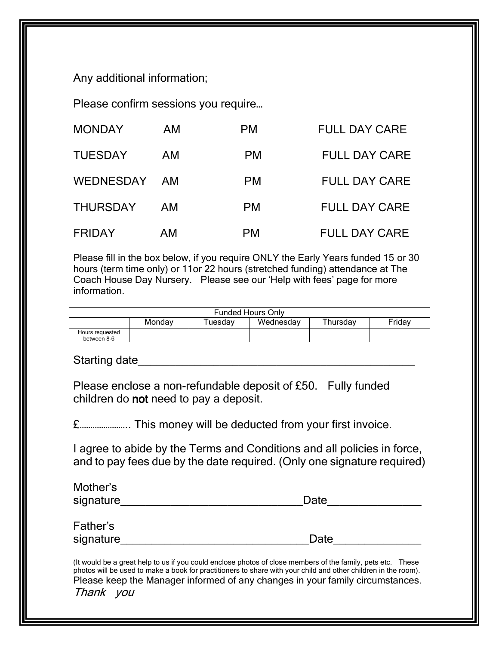Any additional information;

Please confirm sessions you require…

| <b>MONDAY</b>   | AM  | PM.       | <b>FULL DAY CARE</b> |
|-----------------|-----|-----------|----------------------|
| <b>TUESDAY</b>  | AM. | <b>PM</b> | <b>FULL DAY CARE</b> |
| WEDNESDAY AM    |     | <b>PM</b> | <b>FULL DAY CARE</b> |
| <b>THURSDAY</b> | AM  | <b>PM</b> | <b>FULL DAY CARE</b> |
| <b>FRIDAY</b>   | AM  | РM        | <b>FULL DAY CARE</b> |

Please fill in the box below, if you require ONLY the Early Years funded 15 or 30 hours (term time only) or 11or 22 hours (stretched funding) attendance at The Coach House Day Nursery. Please see our 'Help with fees' page for more information.

|                                |        | <b>Funded Hours Only</b> |           |          |        |
|--------------------------------|--------|--------------------------|-----------|----------|--------|
|                                | Mondav | l uesdav                 | Wednesday | Thursdav | Fridav |
| Hours requested<br>between 8-6 |        |                          |           |          |        |

Starting date and the starting of the starting of the starting of the starting of the starting of the starting

Please enclose a non-refundable deposit of £50. Fully funded children do not need to pay a deposit.

£………………….. This money will be deducted from your first invoice.

I agree to abide by the Terms and Conditions and all policies in force, and to pay fees due by the date required. (Only one signature required)

| Mother's  |      |
|-----------|------|
| signature | Date |
|           |      |
| Father's  |      |
| signature | Date |

(It would be a great help to us if you could enclose photos of close members of the family, pets etc. These photos will be used to make a book for practitioners to share with your child and other children in the room). Please keep the Manager informed of any changes in your family circumstances. Thank you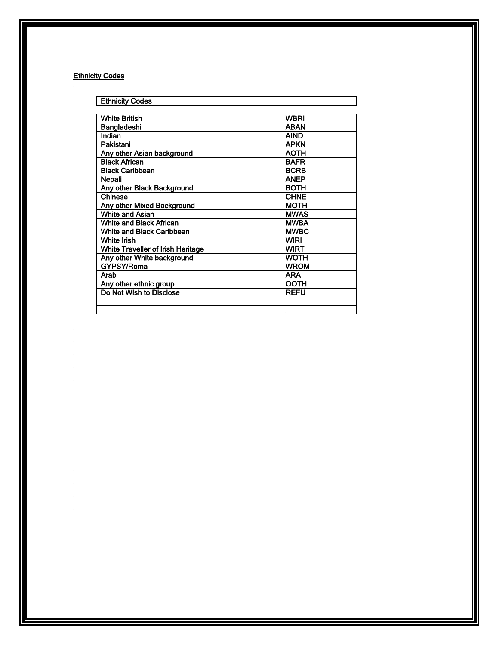#### **Ethnicity Codes**

| <b>Ethnicity Codes</b>                   |             |
|------------------------------------------|-------------|
|                                          |             |
| <b>White British</b>                     | WBRI        |
| Bangladeshi                              | <b>ABAN</b> |
| Indian                                   | <b>AIND</b> |
| Pakistani                                | <b>APKN</b> |
| Any other Asian background               | <b>AOTH</b> |
| <b>Black African</b>                     | <b>BAFR</b> |
| <b>Black Caribbean</b>                   | <b>BCRB</b> |
| Nepali                                   | <b>ANEP</b> |
| <b>Any other Black Background</b>        | <b>BOTH</b> |
| <b>Chinese</b>                           | <b>CHNE</b> |
| Any other Mixed Background               | <b>MOTH</b> |
| <b>White and Asian</b>                   | <b>MWAS</b> |
| <b>White and Black African</b>           | <b>MWBA</b> |
| White and Black Caribbean                | <b>MWBC</b> |
| <b>White Irish</b>                       | <b>WIRI</b> |
| <b>White Traveller of Irish Heritage</b> | <b>WIRT</b> |
| Any other White background               | <b>WOTH</b> |
| GYPSY/Roma                               | <b>WROM</b> |
| Arab                                     | <b>ARA</b>  |
| Any other ethnic group                   | <b>OOTH</b> |
| Do Not Wish to Disclose                  | <b>REFU</b> |
|                                          |             |
|                                          |             |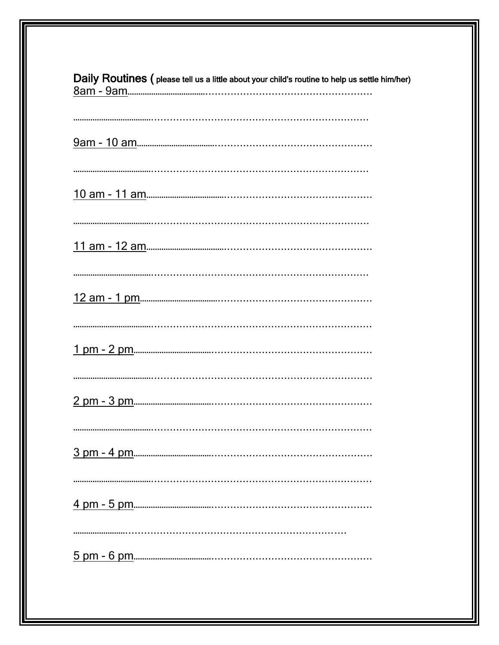| Daily Routines (please tell us a little about your child's routine to help us settle him/her) |
|-----------------------------------------------------------------------------------------------|
|                                                                                               |
|                                                                                               |
|                                                                                               |
|                                                                                               |
|                                                                                               |
|                                                                                               |
|                                                                                               |
|                                                                                               |
|                                                                                               |
|                                                                                               |
|                                                                                               |
|                                                                                               |
|                                                                                               |
|                                                                                               |
|                                                                                               |
|                                                                                               |
|                                                                                               |
|                                                                                               |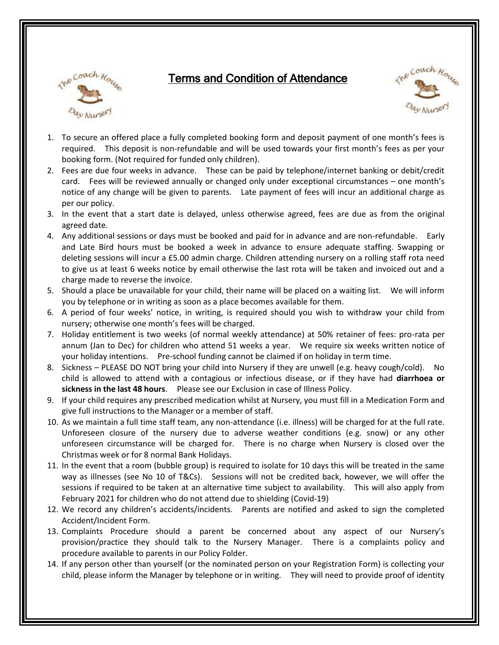

# Terms and Condition of Attendance



- 1. To secure an offered place a fully completed booking form and deposit payment of one month's fees is required. This deposit is non-refundable and will be used towards your first month's fees as per your booking form. (Not required for funded only children).
- 2. Fees are due four weeks in advance. These can be paid by telephone/internet banking or debit/credit card. Fees will be reviewed annually or changed only under exceptional circumstances – one month's notice of any change will be given to parents. Late payment of fees will incur an additional charge as per our policy.
- 3. In the event that a start date is delayed, unless otherwise agreed, fees are due as from the original agreed date.
- 4. Any additional sessions or days must be booked and paid for in advance and are non-refundable. Early and Late Bird hours must be booked a week in advance to ensure adequate staffing. Swapping or deleting sessions will incur a £5.00 admin charge. Children attending nursery on a rolling staff rota need to give us at least 6 weeks notice by email otherwise the last rota will be taken and invoiced out and a charge made to reverse the invoice.
- 5. Should a place be unavailable for your child, their name will be placed on a waiting list. We will inform you by telephone or in writing as soon as a place becomes available for them.
- 6. A period of four weeks' notice, in writing, is required should you wish to withdraw your child from nursery; otherwise one month's fees will be charged.
- 7. Holiday entitlement is two weeks (of normal weekly attendance) at 50% retainer of fees: pro-rata per annum (Jan to Dec) for children who attend 51 weeks a year. We require six weeks written notice of your holiday intentions. Pre-school funding cannot be claimed if on holiday in term time.
- 8. Sickness PLEASE DO NOT bring your child into Nursery if they are unwell (e.g. heavy cough/cold). No child is allowed to attend with a contagious or infectious disease, or if they have had **diarrhoea or sickness in the last 48 hours**. Please see our Exclusion in case of Illness Policy.
- 9. If your child requires any prescribed medication whilst at Nursery, you must fill in a Medication Form and give full instructions to the Manager or a member of staff.
- 10. As we maintain a full time staff team, any non-attendance (i.e. illness) will be charged for at the full rate. Unforeseen closure of the nursery due to adverse weather conditions (e.g. snow) or any other unforeseen circumstance will be charged for. There is no charge when Nursery is closed over the Christmas week or for 8 normal Bank Holidays.
- 11. In the event that a room (bubble group) is required to isolate for 10 days this will be treated in the same way as illnesses (see No 10 of T&Cs). Sessions will not be credited back, however, we will offer the sessions if required to be taken at an alternative time subject to availability. This will also apply from February 2021 for children who do not attend due to shielding (Covid-19)
- 12. We record any children's accidents/incidents. Parents are notified and asked to sign the completed Accident/Incident Form.
- 13. Complaints Procedure should a parent be concerned about any aspect of our Nursery's provision/practice they should talk to the Nursery Manager. There is a complaints policy and procedure available to parents in our Policy Folder.
- 14. If any person other than yourself (or the nominated person on your Registration Form) is collecting your child, please inform the Manager by telephone or in writing. They will need to provide proof of identity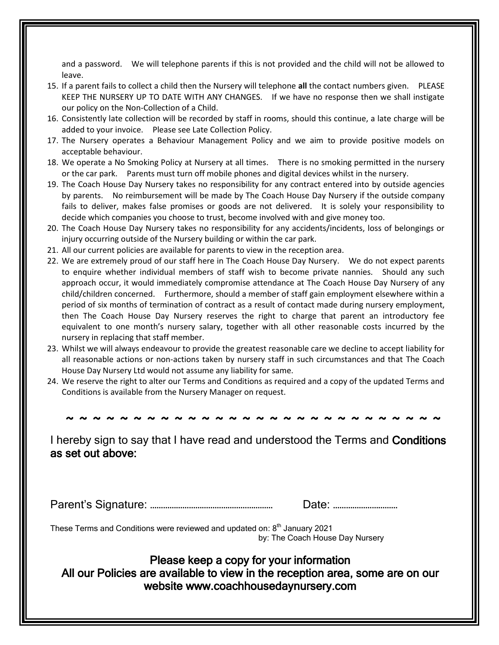and a password. We will telephone parents if this is not provided and the child will not be allowed to leave.

- 15. If a parent fails to collect a child then the Nursery will telephone **all** the contact numbers given. PLEASE KEEP THE NURSERY UP TO DATE WITH ANY CHANGES. If we have no response then we shall instigate our policy on the Non-Collection of a Child.
- 16. Consistently late collection will be recorded by staff in rooms, should this continue, a late charge will be added to your invoice. Please see Late Collection Policy.
- 17. The Nursery operates a Behaviour Management Policy and we aim to provide positive models on acceptable behaviour.
- 18. We operate a No Smoking Policy at Nursery at all times. There is no smoking permitted in the nursery or the car park. Parents must turn off mobile phones and digital devices whilst in the nursery.
- 19. The Coach House Day Nursery takes no responsibility for any contract entered into by outside agencies by parents. No reimbursement will be made by The Coach House Day Nursery if the outside company fails to deliver, makes false promises or goods are not delivered. It is solely your responsibility to decide which companies you choose to trust, become involved with and give money too.
- 20. The Coach House Day Nursery takes no responsibility for any accidents/incidents, loss of belongings or injury occurring outside of the Nursery building or within the car park.
- 21. All our current policies are available for parents to view in the reception area.
- 22. We are extremely proud of our staff here in The Coach House Day Nursery. We do not expect parents to enquire whether individual members of staff wish to become private nannies. Should any such approach occur, it would immediately compromise attendance at The Coach House Day Nursery of any child/children concerned. Furthermore, should a member of staff gain employment elsewhere within a period of six months of termination of contract as a result of contact made during nursery employment, then The Coach House Day Nursery reserves the right to charge that parent an introductory fee equivalent to one month's nursery salary, together with all other reasonable costs incurred by the nursery in replacing that staff member.
- 23. Whilst we will always endeavour to provide the greatest reasonable care we decline to accept liability for all reasonable actions or non-actions taken by nursery staff in such circumstances and that The Coach House Day Nursery Ltd would not assume any liability for same.
- 24. We reserve the right to alter our Terms and Conditions as required and a copy of the updated Terms and Conditions is available from the Nursery Manager on request.

 **~ ~ ~ ~ ~ ~ ~ ~ ~ ~ ~ ~ ~ ~ ~ ~ ~ ~ ~ ~ ~ ~ ~ ~ ~ ~ ~ ~** 

I hereby sign to say that I have read and understood the Terms and Conditions as set out above:

Parent's Signature: ………………………………………………… Date: …………………………

These Terms and Conditions were reviewed and updated on: 8<sup>th</sup> January 2021 by: The Coach House Day Nursery

### Please keep a copy for your information All our Policies are available to view in the reception area, some are on our website www.coachhousedaynursery.com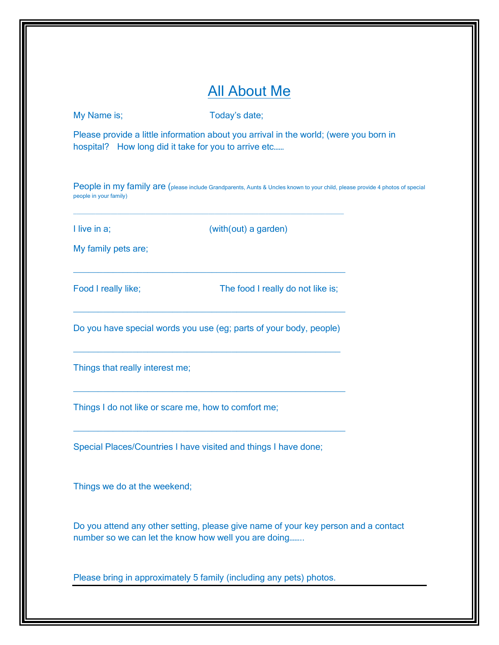# All About Me

My Name is; Today's date;

Please provide a little information about you arrival in the world; (were you born in hospital? How long did it take for you to arrive etc......

People in my family are (please include Grandparents, Aunts & Uncles known to your child, please provide 4 photos of special people in your family)

I live in a;  $(with(out)$  a garden)

My family pets are;

Food I really like; The food I really do not like is;

Do you have special words you use (eg; parts of your body, people)

 $\_$  , and the set of the set of the set of the set of the set of the set of the set of the set of the set of the set of the set of the set of the set of the set of the set of the set of the set of the set of the set of th

\_\_\_\_\_\_\_\_\_\_\_\_\_\_\_\_\_\_\_\_\_\_\_\_\_\_\_\_\_\_\_\_\_\_\_\_\_\_\_\_\_\_\_\_\_\_\_\_\_\_\_\_\_\_\_

 $\_$  , and the set of the set of the set of the set of the set of the set of the set of the set of the set of the set of the set of the set of the set of the set of the set of the set of the set of the set of the set of th

 $\_$  , and the set of the set of the set of the set of the set of the set of the set of the set of the set of the set of the set of the set of the set of the set of the set of the set of the set of the set of the set of th

\_\_\_\_\_\_\_\_\_\_\_\_\_\_\_\_\_\_\_\_\_\_\_\_\_\_\_\_\_\_\_\_\_\_\_\_\_\_\_\_\_\_\_\_\_\_\_\_\_\_\_\_\_\_\_\_\_\_\_\_\_\_\_\_\_\_\_\_\_\_\_\_\_\_\_\_\_\_\_\_\_\_\_\_\_\_

\_\_\_\_\_\_\_\_\_\_\_\_\_\_\_\_\_\_\_\_\_\_\_\_\_\_\_\_\_\_\_\_\_\_\_\_\_\_\_\_\_\_\_\_\_\_\_\_\_\_\_\_\_\_\_

Things that really interest me;

Things I do not like or scare me, how to comfort me;

Special Places/Countries I have visited and things I have done;

Things we do at the weekend;

Do you attend any other setting, please give name of your key person and a contact number so we can let the know how well you are doing……..

Please bring in approximately 5 family (including any pets) photos.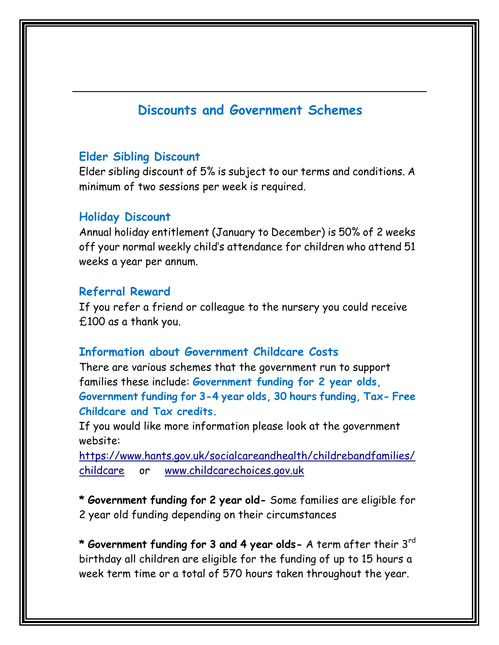## **Discounts and Government Schemes**

### **Elder Sibling Discount**

Elder sibling discount of 5% is subject to our terms and conditions. A minimum of two sessions per week is required.

### **Holiday Discount**

Annual holiday entitlement (January to December) is 50% of 2 weeks off your normal weekly child's attendance for children who attend 51 weeks a year per annum.

#### **Referral Reward**

If you refer a friend or colleague to the nursery you could receive £100 as a thank you.

#### **Information about Government Childcare Costs**

There are various schemes that the government run to support families these include: **Government funding for 2 year olds, Government funding for 3-4 year olds, 30 hours funding, Tax- Free Childcare and Tax credits.**

If you would like more information please look at the government website:

[https://www.hants.gov.uk/socialcareandhealth/childrebandfamilies/](https://www.hants.gov.uk/socialcareandhealth/childrebandfamilies/childcare) [childcare](https://www.hants.gov.uk/socialcareandhealth/childrebandfamilies/childcare) or [www.childcarechoices.gov.uk](http://www.childcarechoices.gov.uk/) 

**\* Government funding for 2 year old-** Some families are eligible for 2 year old funding depending on their circumstances

**\* Government funding for 3 and 4 year olds-** A term after their 3rd birthday all children are eligible for the funding of up to 15 hours a week term time or a total of 570 hours taken throughout the year.